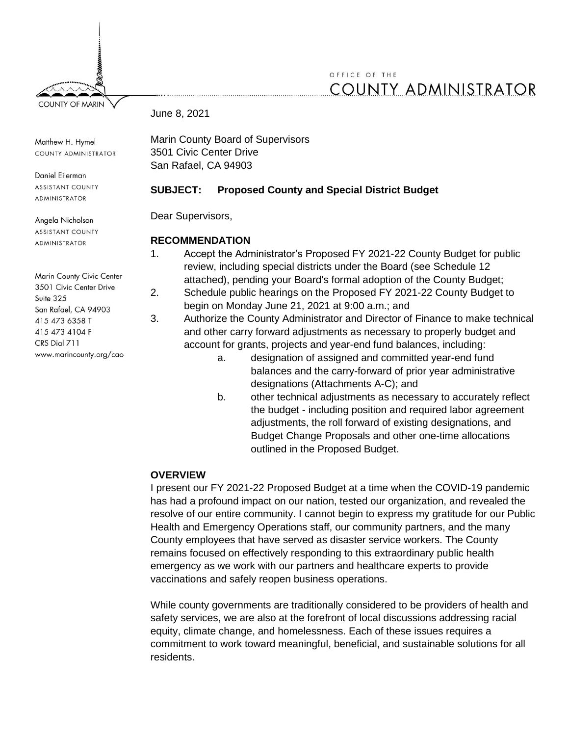# OFFICE OF THE **COUNTY ADMINISTRATOR**

June 8, 2021

Matthew H. Hymel COUNTY ADMINISTRATOR

Daniel Eilerman **ASSISTANT COUNTY** ADMINISTRATOR

Angela Nicholson **ASSISTANT COUNTY ADMINISTRATOR** 

Marin County Civic Center 3501 Civic Center Drive Suite 325 San Rafael, CA 94903 415 473 6358 T 415 473 4104 F CRS Dial 711 www.marincounty.org/cao Marin County Board of Supervisors 3501 Civic Center Drive San Rafael, CA 94903

## **SUBJECT: Proposed County and Special District Budget**

Dear Supervisors,

## **RECOMMENDATION**

- 1. Accept the Administrator's Proposed FY 2021-22 County Budget for public review, including special districts under the Board (see Schedule 12 attached), pending your Board's formal adoption of the County Budget;
- 2. Schedule public hearings on the Proposed FY 2021-22 County Budget to begin on Monday June 21, 2021 at 9:00 a.m.; and
- 3. Authorize the County Administrator and Director of Finance to make technical and other carry forward adjustments as necessary to properly budget and account for grants, projects and year-end fund balances, including:
	- a. designation of assigned and committed year-end fund balances and the carry-forward of prior year administrative designations (Attachments A-C); and
	- b. other technical adjustments as necessary to accurately reflect the budget - including position and required labor agreement adjustments, the roll forward of existing designations, and Budget Change Proposals and other one-time allocations outlined in the Proposed Budget.

## **OVERVIEW**

I present our FY 2021-22 Proposed Budget at a time when the COVID-19 pandemic has had a profound impact on our nation, tested our organization, and revealed the resolve of our entire community. I cannot begin to express my gratitude for our Public Health and Emergency Operations staff, our community partners, and the many County employees that have served as disaster service workers. The County remains focused on effectively responding to this extraordinary public health emergency as we work with our partners and healthcare experts to provide vaccinations and safely reopen business operations.

While county governments are traditionally considered to be providers of health and safety services, we are also at the forefront of local discussions addressing racial equity, climate change, and homelessness. Each of these issues requires a commitment to work toward meaningful, beneficial, and sustainable solutions for all residents.

**COUNTY OF MARIN**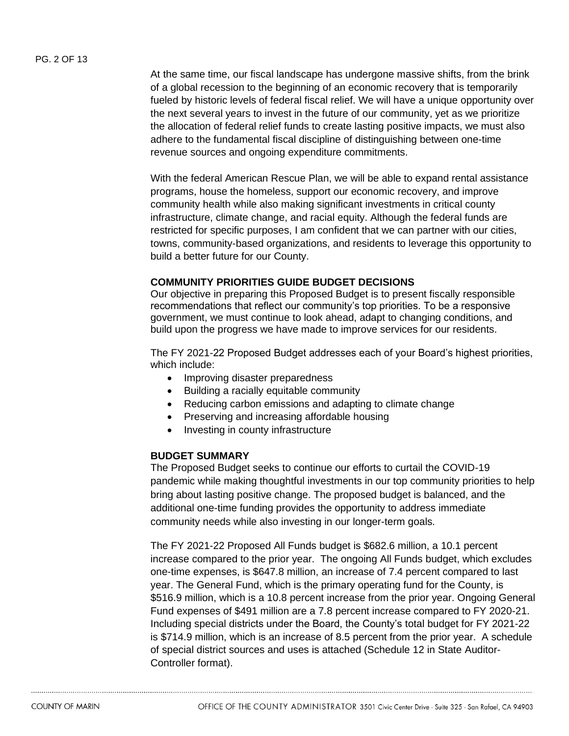#### PG. 2 OF 13

At the same time, our fiscal landscape has undergone massive shifts, from the brink of a global recession to the beginning of an economic recovery that is temporarily fueled by historic levels of federal fiscal relief. We will have a unique opportunity over the next several years to invest in the future of our community, yet as we prioritize the allocation of federal relief funds to create lasting positive impacts, we must also adhere to the fundamental fiscal discipline of distinguishing between one-time revenue sources and ongoing expenditure commitments.

With the federal American Rescue Plan, we will be able to expand rental assistance programs, house the homeless, support our economic recovery, and improve community health while also making significant investments in critical county infrastructure, climate change, and racial equity. Although the federal funds are restricted for specific purposes, I am confident that we can partner with our cities, towns, community-based organizations, and residents to leverage this opportunity to build a better future for our County.

### **COMMUNITY PRIORITIES GUIDE BUDGET DECISIONS**

Our objective in preparing this Proposed Budget is to present fiscally responsible recommendations that reflect our community's top priorities. To be a responsive government, we must continue to look ahead, adapt to changing conditions, and build upon the progress we have made to improve services for our residents.

The FY 2021-22 Proposed Budget addresses each of your Board's highest priorities, which include:

- Improving disaster preparedness
- Building a racially equitable community
- Reducing carbon emissions and adapting to climate change
- Preserving and increasing affordable housing
- Investing in county infrastructure

#### **BUDGET SUMMARY**

The Proposed Budget seeks to continue our efforts to curtail the COVID-19 pandemic while making thoughtful investments in our top community priorities to help bring about lasting positive change. The proposed budget is balanced, and the additional one-time funding provides the opportunity to address immediate community needs while also investing in our longer-term goals.

The FY 2021-22 Proposed All Funds budget is \$682.6 million, a 10.1 percent increase compared to the prior year. The ongoing All Funds budget, which excludes one-time expenses, is \$647.8 million, an increase of 7.4 percent compared to last year. The General Fund, which is the primary operating fund for the County, is \$516.9 million, which is a 10.8 percent increase from the prior year. Ongoing General Fund expenses of \$491 million are a 7.8 percent increase compared to FY 2020-21. Including special districts under the Board, the County's total budget for FY 2021-22 is \$714.9 million, which is an increase of 8.5 percent from the prior year. A schedule of special district sources and uses is attached (Schedule 12 in State Auditor-Controller format).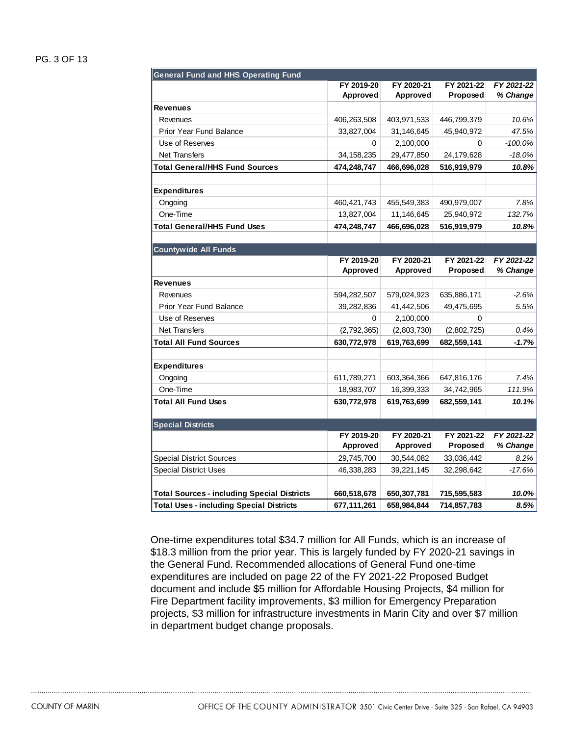#### PG. 3 OF 13

| <b>General Fund and HHS Operating Fund</b>         |                 |                 |             |            |
|----------------------------------------------------|-----------------|-----------------|-------------|------------|
|                                                    | FY 2019-20      | FY 2020-21      | FY 2021-22  | FY 2021-22 |
|                                                    | <b>Approved</b> | <b>Approved</b> | Proposed    | % Change   |
| <b>Revenues</b>                                    |                 |                 |             |            |
| Revenues                                           | 406,263,508     | 403,971,533     | 446,799,379 | 10.6%      |
| <b>Prior Year Fund Balance</b>                     | 33,827,004      | 31,146,645      | 45,940,972  | 47.5%      |
| Use of Reserves                                    | 0               | 2,100,000       | $\Omega$    | $-100.0%$  |
| <b>Net Transfers</b>                               | 34, 158, 235    | 29,477,850      | 24,179,628  | $-18.0%$   |
| <b>Total General/HHS Fund Sources</b>              | 474,248,747     | 466,696,028     | 516,919,979 | 10.8%      |
| <b>Expenditures</b>                                |                 |                 |             |            |
|                                                    |                 |                 |             |            |
| Ongoing<br>One-Time                                | 460, 421, 743   | 455,549,383     | 490,979,007 | 7.8%       |
|                                                    | 13,827,004      | 11,146,645      | 25,940,972  | 132.7%     |
| <b>Total General/HHS Fund Uses</b>                 | 474,248,747     | 466,696,028     | 516,919,979 | 10.8%      |
| <b>Countywide All Funds</b>                        |                 |                 |             |            |
|                                                    | FY 2019-20      | FY 2020-21      | FY 2021-22  | FY 2021-22 |
|                                                    | Approved        | Approved        | Proposed    | % Change   |
| Revenues                                           |                 |                 |             |            |
| Revenues                                           | 594,282,507     | 579,024,923     | 635,886,171 | $-2.6%$    |
| <b>Prior Year Fund Balance</b>                     | 39,282,836      | 41,442,506      | 49,475,695  | 5.5%       |
| Use of Reserves                                    | 0               | 2,100,000       | $\Omega$    |            |
| <b>Net Transfers</b>                               | (2,792,365)     | (2,803,730)     | (2,802,725) | 0.4%       |
| <b>Total All Fund Sources</b>                      | 630,772,978     | 619,763,699     | 682,559,141 | $-1.7%$    |
| <b>Expenditures</b>                                |                 |                 |             |            |
| Ongoing                                            | 611,789,271     | 603,364,366     | 647,816,176 | 7.4%       |
| One-Time                                           | 18,983,707      | 16,399,333      | 34,742,965  | 111.9%     |
| <b>Total All Fund Uses</b>                         | 630,772,978     | 619,763,699     | 682,559,141 | 10.1%      |
|                                                    |                 |                 |             |            |
| <b>Special Districts</b>                           |                 |                 |             |            |
|                                                    | FY 2019-20      | FY 2020-21      | FY 2021-22  | FY 2021-22 |
|                                                    | Approved        | Approved        | Proposed    | % Change   |
| <b>Special District Sources</b>                    | 29,745,700      | 30,544,082      | 33,036,442  | 8.2%       |
| <b>Special District Uses</b>                       | 46,338,283      | 39,221,145      | 32,298,642  | $-17.6%$   |
|                                                    |                 |                 |             |            |
| <b>Total Sources - including Special Districts</b> | 660,518,678     | 650,307,781     | 715,595,583 | 10.0%      |
| <b>Total Uses - including Special Districts</b>    | 677,111,261     | 658.984.844     | 714,857,783 | 8.5%       |

One-time expenditures total \$34.7 million for All Funds, which is an increase of \$18.3 million from the prior year. This is largely funded by FY 2020-21 savings in the General Fund. Recommended allocations of General Fund one-time expenditures are included on page 22 of the FY 2021-22 Proposed Budget document and include \$5 million for Affordable Housing Projects, \$4 million for Fire Department facility improvements, \$3 million for Emergency Preparation projects, \$3 million for infrastructure investments in Marin City and over \$7 million in department budget change proposals.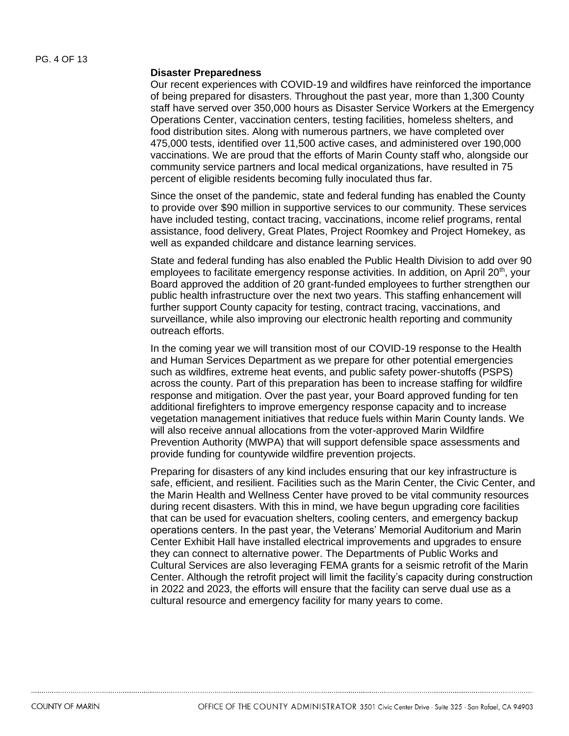#### **Disaster Preparedness**

Our recent experiences with COVID-19 and wildfires have reinforced the importance of being prepared for disasters. Throughout the past year, more than 1,300 County staff have served over 350,000 hours as Disaster Service Workers at the Emergency Operations Center, vaccination centers, testing facilities, homeless shelters, and food distribution sites. Along with numerous partners, we have completed over 475,000 tests, identified over 11,500 active cases, and administered over 190,000 vaccinations. We are proud that the efforts of Marin County staff who, alongside our community service partners and local medical organizations, have resulted in 75 percent of eligible residents becoming fully inoculated thus far.

Since the onset of the pandemic, state and federal funding has enabled the County to provide over \$90 million in supportive services to our community. These services have included testing, contact tracing, vaccinations, income relief programs, rental assistance, food delivery, Great Plates, Project Roomkey and Project Homekey, as well as expanded childcare and distance learning services.

State and federal funding has also enabled the Public Health Division to add over 90 employees to facilitate emergency response activities. In addition, on April  $20<sup>th</sup>$ , your Board approved the addition of 20 grant-funded employees to further strengthen our public health infrastructure over the next two years. This staffing enhancement will further support County capacity for testing, contract tracing, vaccinations, and surveillance, while also improving our electronic health reporting and community outreach efforts.

In the coming year we will transition most of our COVID-19 response to the Health and Human Services Department as we prepare for other potential emergencies such as wildfires, extreme heat events, and public safety power-shutoffs (PSPS) across the county. Part of this preparation has been to increase staffing for wildfire response and mitigation. Over the past year, your Board approved funding for ten additional firefighters to improve emergency response capacity and to increase vegetation management initiatives that reduce fuels within Marin County lands. We will also receive annual allocations from the voter-approved Marin Wildfire Prevention Authority (MWPA) that will support defensible space assessments and provide funding for countywide wildfire prevention projects.

Preparing for disasters of any kind includes ensuring that our key infrastructure is safe, efficient, and resilient. Facilities such as the Marin Center, the Civic Center, and the Marin Health and Wellness Center have proved to be vital community resources during recent disasters. With this in mind, we have begun upgrading core facilities that can be used for evacuation shelters, cooling centers, and emergency backup operations centers. In the past year, the Veterans' Memorial Auditorium and Marin Center Exhibit Hall have installed electrical improvements and upgrades to ensure they can connect to alternative power. The Departments of Public Works and Cultural Services are also leveraging FEMA grants for a seismic retrofit of the Marin Center. Although the retrofit project will limit the facility's capacity during construction in 2022 and 2023, the efforts will ensure that the facility can serve dual use as a cultural resource and emergency facility for many years to come.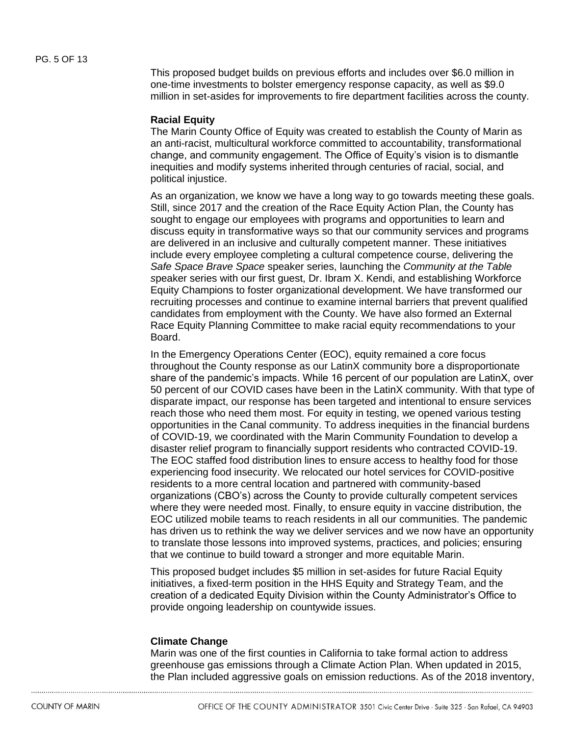This proposed budget builds on previous efforts and includes over \$6.0 million in one-time investments to bolster emergency response capacity, as well as \$9.0 million in set-asides for improvements to fire department facilities across the county.

#### **Racial Equity**

The Marin County Office of Equity was created to establish the County of Marin as an anti-racist, multicultural workforce committed to accountability, transformational change, and community engagement. The Office of Equity's vision is to dismantle inequities and modify systems inherited through centuries of racial, social, and political injustice.

As an organization, we know we have a long way to go towards meeting these goals. Still, since 2017 and the creation of the Race Equity Action Plan, the County has sought to engage our employees with programs and opportunities to learn and discuss equity in transformative ways so that our community services and programs are delivered in an inclusive and culturally competent manner. These initiatives include every employee completing a cultural competence course, delivering the *Safe Space Brave Space* speaker series, launching the *Community at the Table s*peaker series with our first guest, Dr. Ibram X. Kendi, and establishing Workforce Equity Champions to foster organizational development. We have transformed our recruiting processes and continue to examine internal barriers that prevent qualified candidates from employment with the County. We have also formed an External Race Equity Planning Committee to make racial equity recommendations to your Board.

In the Emergency Operations Center (EOC), equity remained a core focus throughout the County response as our LatinX community bore a disproportionate share of the pandemic's impacts. While 16 percent of our population are LatinX, over 50 percent of our COVID cases have been in the LatinX community. With that type of disparate impact, our response has been targeted and intentional to ensure services reach those who need them most. For equity in testing, we opened various testing opportunities in the Canal community. To address inequities in the financial burdens of COVID-19, we coordinated with the Marin Community Foundation to develop a disaster relief program to financially support residents who contracted COVID-19. The EOC staffed food distribution lines to ensure access to healthy food for those experiencing food insecurity. We relocated our hotel services for COVID-positive residents to a more central location and partnered with community-based organizations (CBO's) across the County to provide culturally competent services where they were needed most. Finally, to ensure equity in vaccine distribution, the EOC utilized mobile teams to reach residents in all our communities. The pandemic has driven us to rethink the way we deliver services and we now have an opportunity to translate those lessons into improved systems, practices, and policies; ensuring that we continue to build toward a stronger and more equitable Marin.

This proposed budget includes \$5 million in set-asides for future Racial Equity initiatives, a fixed-term position in the HHS Equity and Strategy Team, and the creation of a dedicated Equity Division within the County Administrator's Office to provide ongoing leadership on countywide issues.

#### **Climate Change**

Marin was one of the first counties in California to take formal action to address greenhouse gas emissions through a Climate Action Plan. When updated in 2015, the Plan included aggressive goals on emission reductions. As of the 2018 inventory,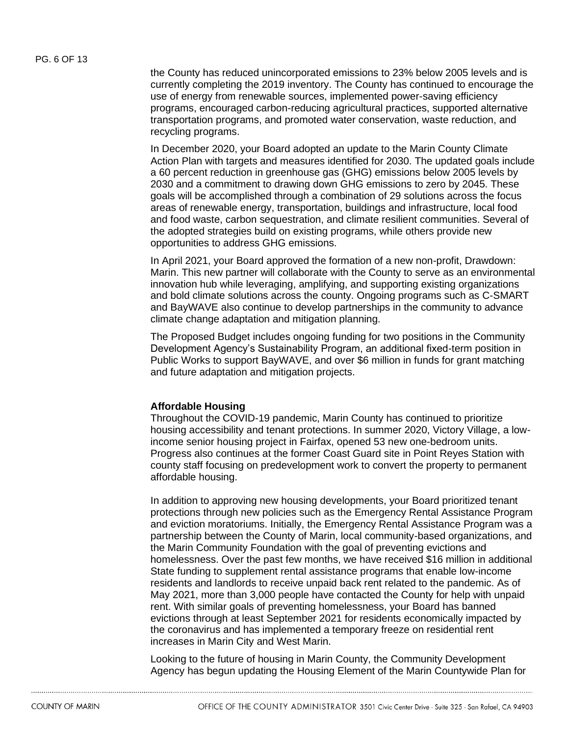the County has reduced unincorporated emissions to 23% below 2005 levels and is currently completing the 2019 inventory. The County has continued to encourage the use of energy from renewable sources, implemented power-saving efficiency programs, encouraged carbon-reducing agricultural practices, supported alternative transportation programs, and promoted water conservation, waste reduction, and recycling programs.

In December 2020, your Board adopted an update to the Marin County Climate Action Plan with targets and measures identified for 2030. The updated goals include a 60 percent reduction in greenhouse gas (GHG) emissions below 2005 levels by 2030 and a commitment to drawing down GHG emissions to zero by 2045. These goals will be accomplished through a combination of 29 solutions across the focus areas of renewable energy, transportation, buildings and infrastructure, local food and food waste, carbon sequestration, and climate resilient communities. Several of the adopted strategies build on existing programs, while others provide new opportunities to address GHG emissions.

In April 2021, your Board approved the formation of a new non-profit, Drawdown: Marin. This new partner will collaborate with the County to serve as an environmental innovation hub while leveraging, amplifying, and supporting existing organizations and bold climate solutions across the county. Ongoing programs such as C-SMART and BayWAVE also continue to develop partnerships in the community to advance climate change adaptation and mitigation planning.

The Proposed Budget includes ongoing funding for two positions in the Community Development Agency's Sustainability Program, an additional fixed-term position in Public Works to support BayWAVE, and over \$6 million in funds for grant matching and future adaptation and mitigation projects.

#### **Affordable Housing**

Throughout the COVID-19 pandemic, Marin County has continued to prioritize housing accessibility and tenant protections. In summer 2020, Victory Village, a lowincome senior housing project in Fairfax, opened 53 new one-bedroom units. Progress also continues at the former Coast Guard site in Point Reyes Station with county staff focusing on predevelopment work to convert the property to permanent affordable housing.

In addition to approving new housing developments, your Board prioritized tenant protections through new policies such as the Emergency Rental Assistance Program and eviction moratoriums. Initially, the Emergency Rental Assistance Program was a partnership between the County of Marin, local community-based organizations, and the Marin Community Foundation with the goal of preventing evictions and homelessness. Over the past few months, we have received \$16 million in additional State funding to supplement rental assistance programs that enable low-income residents and landlords to receive unpaid back rent related to the pandemic. As of May 2021, more than 3,000 people have contacted the County for help with unpaid rent. With similar goals of preventing homelessness, your Board has banned evictions through at least September 2021 for residents economically impacted by the coronavirus and has implemented a temporary freeze on residential rent increases in Marin City and West Marin.

Looking to the future of housing in Marin County, the Community Development Agency has begun updating the Housing Element of the Marin Countywide Plan for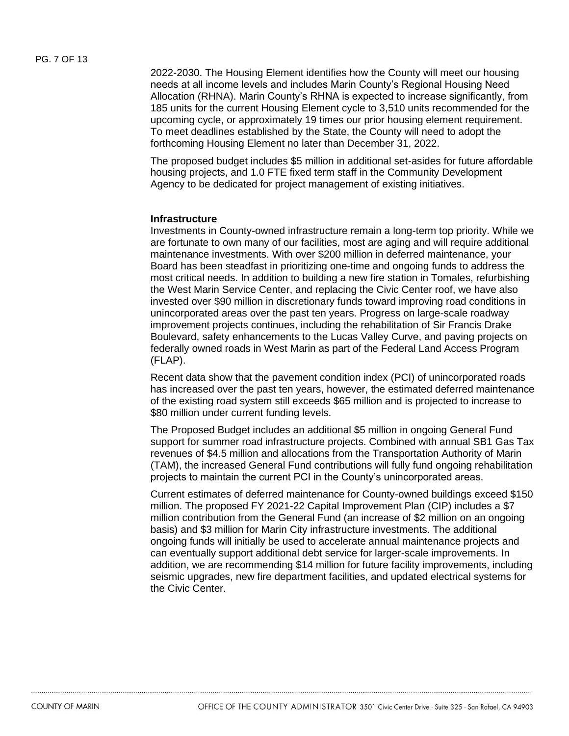2022-2030. The Housing Element identifies how the County will meet our housing needs at all income levels and includes Marin County's Regional Housing Need Allocation (RHNA). Marin County's RHNA is expected to increase significantly, from 185 units for the current Housing Element cycle to 3,510 units recommended for the upcoming cycle, or approximately 19 times our prior housing element requirement. To meet deadlines established by the State, the County will need to adopt the forthcoming Housing Element no later than December 31, 2022.

The proposed budget includes \$5 million in additional set-asides for future affordable housing projects, and 1.0 FTE fixed term staff in the Community Development Agency to be dedicated for project management of existing initiatives.

#### **Infrastructure**

Investments in County-owned infrastructure remain a long-term top priority. While we are fortunate to own many of our facilities, most are aging and will require additional maintenance investments. With over \$200 million in deferred maintenance, your Board has been steadfast in prioritizing one-time and ongoing funds to address the most critical needs. In addition to building a new fire station in Tomales, refurbishing the West Marin Service Center, and replacing the Civic Center roof, we have also invested over \$90 million in discretionary funds toward improving road conditions in unincorporated areas over the past ten years. Progress on large-scale roadway improvement projects continues, including the rehabilitation of Sir Francis Drake Boulevard, safety enhancements to the Lucas Valley Curve, and paving projects on federally owned roads in West Marin as part of the Federal Land Access Program (FLAP).

Recent data show that the pavement condition index (PCI) of unincorporated roads has increased over the past ten years, however, the estimated deferred maintenance of the existing road system still exceeds \$65 million and is projected to increase to \$80 million under current funding levels.

The Proposed Budget includes an additional \$5 million in ongoing General Fund support for summer road infrastructure projects. Combined with annual SB1 Gas Tax revenues of \$4.5 million and allocations from the Transportation Authority of Marin (TAM), the increased General Fund contributions will fully fund ongoing rehabilitation projects to maintain the current PCI in the County's unincorporated areas.

Current estimates of deferred maintenance for County-owned buildings exceed \$150 million. The proposed FY 2021-22 Capital Improvement Plan (CIP) includes a \$7 million contribution from the General Fund (an increase of \$2 million on an ongoing basis) and \$3 million for Marin City infrastructure investments. The additional ongoing funds will initially be used to accelerate annual maintenance projects and can eventually support additional debt service for larger-scale improvements. In addition, we are recommending \$14 million for future facility improvements, including seismic upgrades, new fire department facilities, and updated electrical systems for the Civic Center.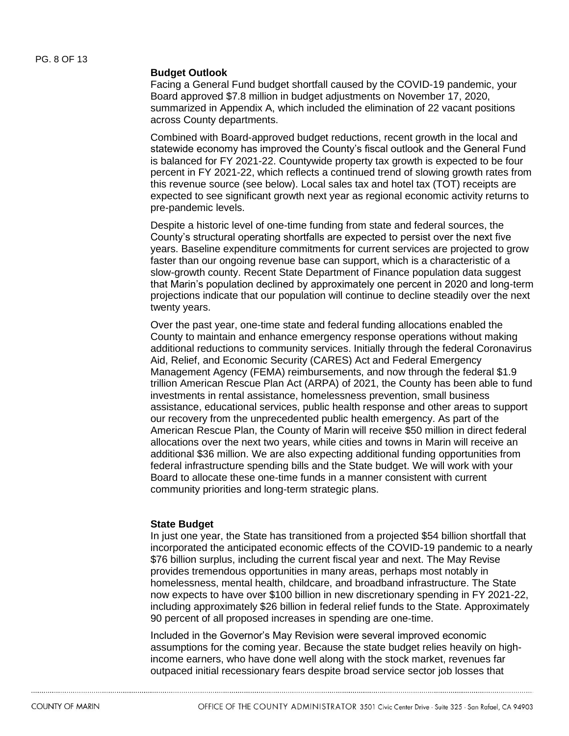#### **Budget Outlook**

Facing a General Fund budget shortfall caused by the COVID-19 pandemic, your Board approved \$7.8 million in budget adjustments on November 17, 2020, summarized in Appendix A, which included the elimination of 22 vacant positions across County departments.

Combined with Board-approved budget reductions, recent growth in the local and statewide economy has improved the County's fiscal outlook and the General Fund is balanced for FY 2021-22. Countywide property tax growth is expected to be four percent in FY 2021-22, which reflects a continued trend of slowing growth rates from this revenue source (see below). Local sales tax and hotel tax (TOT) receipts are expected to see significant growth next year as regional economic activity returns to pre-pandemic levels.

Despite a historic level of one-time funding from state and federal sources, the County's structural operating shortfalls are expected to persist over the next five years. Baseline expenditure commitments for current services are projected to grow faster than our ongoing revenue base can support, which is a characteristic of a slow-growth county. Recent State Department of Finance population data suggest that Marin's population declined by approximately one percent in 2020 and long-term projections indicate that our population will continue to decline steadily over the next twenty years.

Over the past year, one-time state and federal funding allocations enabled the County to maintain and enhance emergency response operations without making additional reductions to community services. Initially through the federal Coronavirus Aid, Relief, and Economic Security (CARES) Act and Federal Emergency Management Agency (FEMA) reimbursements, and now through the federal \$1.9 trillion American Rescue Plan Act (ARPA) of 2021, the County has been able to fund investments in rental assistance, homelessness prevention, small business assistance, educational services, public health response and other areas to support our recovery from the unprecedented public health emergency. As part of the American Rescue Plan, the County of Marin will receive \$50 million in direct federal allocations over the next two years, while cities and towns in Marin will receive an additional \$36 million. We are also expecting additional funding opportunities from federal infrastructure spending bills and the State budget. We will work with your Board to allocate these one-time funds in a manner consistent with current community priorities and long-term strategic plans.

#### **State Budget**

In just one year, the State has transitioned from a projected \$54 billion shortfall that incorporated the anticipated economic effects of the COVID-19 pandemic to a nearly \$76 billion surplus, including the current fiscal year and next. The May Revise provides tremendous opportunities in many areas, perhaps most notably in homelessness, mental health, childcare, and broadband infrastructure. The State now expects to have over \$100 billion in new discretionary spending in FY 2021-22, including approximately \$26 billion in federal relief funds to the State. Approximately 90 percent of all proposed increases in spending are one-time.

Included in the Governor's May Revision were several improved economic assumptions for the coming year. Because the state budget relies heavily on highincome earners, who have done well along with the stock market, revenues far outpaced initial recessionary fears despite broad service sector job losses that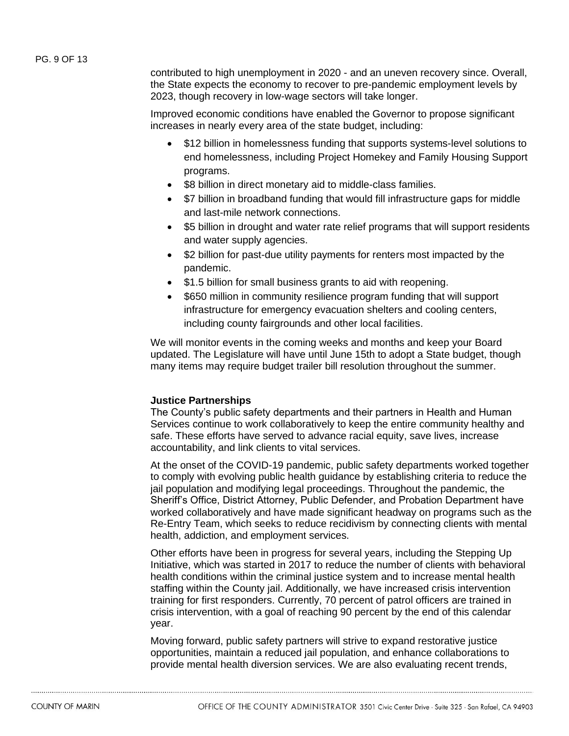contributed to high unemployment in 2020 - and an uneven recovery since. Overall, the State expects the economy to recover to pre-pandemic employment levels by 2023, though recovery in low-wage sectors will take longer.

Improved economic conditions have enabled the Governor to propose significant increases in nearly every area of the state budget, including:

- \$12 billion in homelessness funding that supports systems-level solutions to end homelessness, including Project Homekey and Family Housing Support programs.
- \$8 billion in direct monetary aid to middle-class families.
- \$7 billion in broadband funding that would fill infrastructure gaps for middle and last-mile network connections.
- \$5 billion in drought and water rate relief programs that will support residents and water supply agencies.
- \$2 billion for past-due utility payments for renters most impacted by the pandemic.
- \$1.5 billion for small business grants to aid with reopening.
- \$650 million in community resilience program funding that will support infrastructure for emergency evacuation shelters and cooling centers, including county fairgrounds and other local facilities.

We will monitor events in the coming weeks and months and keep your Board updated. The Legislature will have until June 15th to adopt a State budget, though many items may require budget trailer bill resolution throughout the summer.

#### **Justice Partnerships**

The County's public safety departments and their partners in Health and Human Services continue to work collaboratively to keep the entire community healthy and safe. These efforts have served to advance racial equity, save lives, increase accountability, and link clients to vital services.

At the onset of the COVID-19 pandemic, public safety departments worked together to comply with evolving public health guidance by establishing criteria to reduce the jail population and modifying legal proceedings. Throughout the pandemic, the Sheriff's Office, District Attorney, Public Defender, and Probation Department have worked collaboratively and have made significant headway on programs such as the Re-Entry Team, which seeks to reduce recidivism by connecting clients with mental health, addiction, and employment services.

Other efforts have been in progress for several years, including the Stepping Up Initiative, which was started in 2017 to reduce the number of clients with behavioral health conditions within the criminal justice system and to increase mental health staffing within the County jail. Additionally, we have increased crisis intervention training for first responders. Currently, 70 percent of patrol officers are trained in crisis intervention, with a goal of reaching 90 percent by the end of this calendar year.

Moving forward, public safety partners will strive to expand restorative justice opportunities, maintain a reduced jail population, and enhance collaborations to provide mental health diversion services. We are also evaluating recent trends,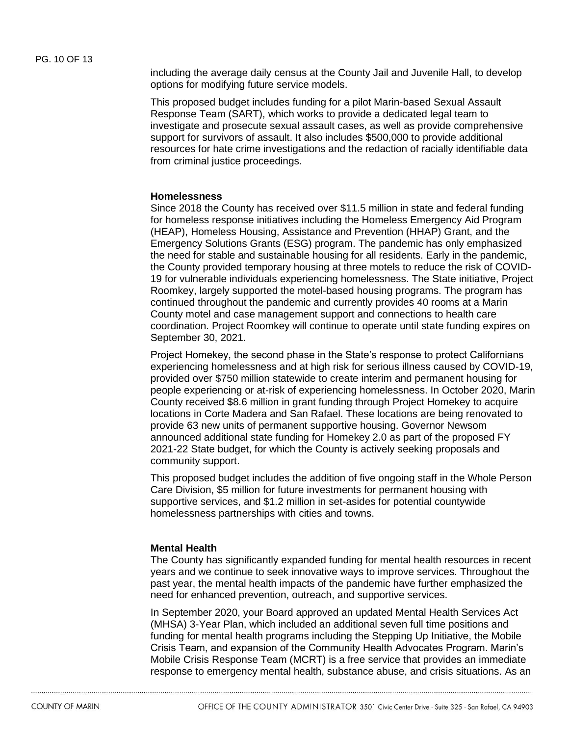including the average daily census at the County Jail and Juvenile Hall, to develop options for modifying future service models.

This proposed budget includes funding for a pilot Marin-based Sexual Assault Response Team (SART), which works to provide a dedicated legal team to investigate and prosecute sexual assault cases, as well as provide comprehensive support for survivors of assault. It also includes \$500,000 to provide additional resources for hate crime investigations and the redaction of racially identifiable data from criminal justice proceedings.

#### **Homelessness**

Since 2018 the County has received over \$11.5 million in state and federal funding for homeless response initiatives including the Homeless Emergency Aid Program (HEAP), Homeless Housing, Assistance and Prevention (HHAP) Grant, and the Emergency Solutions Grants (ESG) program. The pandemic has only emphasized the need for stable and sustainable housing for all residents. Early in the pandemic, the County provided temporary housing at three motels to reduce the risk of COVID-19 for vulnerable individuals experiencing homelessness. The State initiative, Project Roomkey, largely supported the motel-based housing programs. The program has continued throughout the pandemic and currently provides 40 rooms at a Marin County motel and case management support and connections to health care coordination. Project Roomkey will continue to operate until state funding expires on September 30, 2021.

Project Homekey, the second phase in the State's response to protect Californians experiencing homelessness and at high risk for serious illness caused by COVID-19, provided over \$750 million statewide to create interim and permanent housing for people experiencing or at-risk of experiencing homelessness. In October 2020, Marin County received \$8.6 million in grant funding through Project Homekey to acquire locations in Corte Madera and San Rafael. These locations are being renovated to provide 63 new units of permanent supportive housing. Governor Newsom announced additional state funding for Homekey 2.0 as part of the proposed FY 2021-22 State budget, for which the County is actively seeking proposals and community support.

This proposed budget includes the addition of five ongoing staff in the Whole Person Care Division, \$5 million for future investments for permanent housing with supportive services, and \$1.2 million in set-asides for potential countywide homelessness partnerships with cities and towns.

#### **Mental Health**

The County has significantly expanded funding for mental health resources in recent years and we continue to seek innovative ways to improve services. Throughout the past year, the mental health impacts of the pandemic have further emphasized the need for enhanced prevention, outreach, and supportive services.

In September 2020, your Board approved an updated Mental Health Services Act (MHSA) 3-Year Plan, which included an additional seven full time positions and funding for mental health programs including the Stepping Up Initiative, the Mobile Crisis Team, and expansion of the Community Health Advocates Program. Marin's Mobile Crisis Response Team (MCRT) is a free service that provides an immediate response to emergency mental health, substance abuse, and crisis situations. As an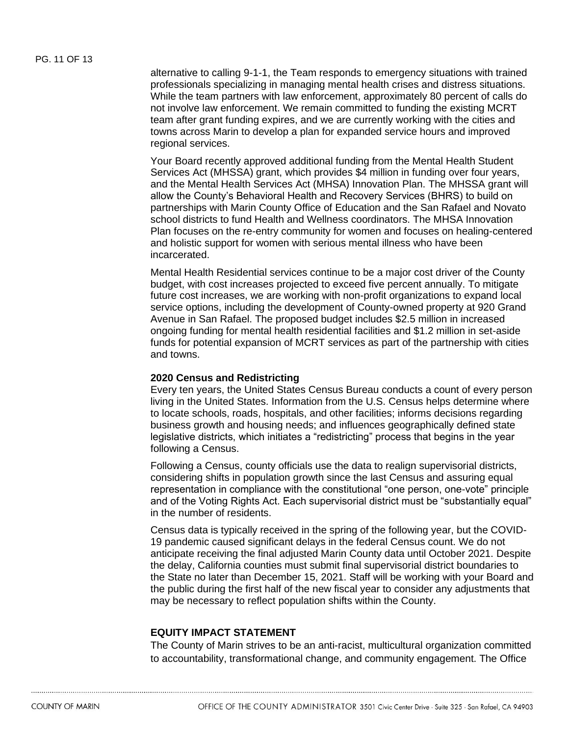alternative to calling 9-1-1, the Team responds to emergency situations with trained professionals specializing in managing mental health crises and distress situations. While the team partners with law enforcement, approximately 80 percent of calls do not involve law enforcement. We remain committed to funding the existing MCRT team after grant funding expires, and we are currently working with the cities and towns across Marin to develop a plan for expanded service hours and improved regional services.

Your Board recently approved additional funding from the Mental Health Student Services Act (MHSSA) grant, which provides \$4 million in funding over four years, and the Mental Health Services Act (MHSA) Innovation Plan. The MHSSA grant will allow the County's Behavioral Health and Recovery Services (BHRS) to build on partnerships with Marin County Office of Education and the San Rafael and Novato school districts to fund Health and Wellness coordinators. The MHSA Innovation Plan focuses on the re-entry community for women and focuses on healing-centered and holistic support for women with serious mental illness who have been incarcerated.

Mental Health Residential services continue to be a major cost driver of the County budget, with cost increases projected to exceed five percent annually. To mitigate future cost increases, we are working with non-profit organizations to expand local service options, including the development of County-owned property at 920 Grand Avenue in San Rafael. The proposed budget includes \$2.5 million in increased ongoing funding for mental health residential facilities and \$1.2 million in set-aside funds for potential expansion of MCRT services as part of the partnership with cities and towns.

#### **2020 Census and Redistricting**

Every ten years, the United States Census Bureau conducts a count of every person living in the United States. Information from the U.S. Census helps determine where to locate schools, roads, hospitals, and other facilities; informs decisions regarding business growth and housing needs; and influences geographically defined state legislative districts, which initiates a "redistricting" process that begins in the year following a Census.

Following a Census, county officials use the data to realign supervisorial districts, considering shifts in population growth since the last Census and assuring equal representation in compliance with the constitutional "one person, one-vote" principle and of the Voting Rights Act. Each supervisorial district must be "substantially equal" in the number of residents.

Census data is typically received in the spring of the following year, but the COVID-19 pandemic caused significant delays in the federal Census count. We do not anticipate receiving the final adjusted Marin County data until October 2021. Despite the delay, California counties must submit final supervisorial district boundaries to the State no later than December 15, 2021. Staff will be working with your Board and the public during the first half of the new fiscal year to consider any adjustments that may be necessary to reflect population shifts within the County.

#### **EQUITY IMPACT STATEMENT**

The County of Marin strives to be an anti-racist, multicultural organization committed to accountability, transformational change, and community engagement. The Office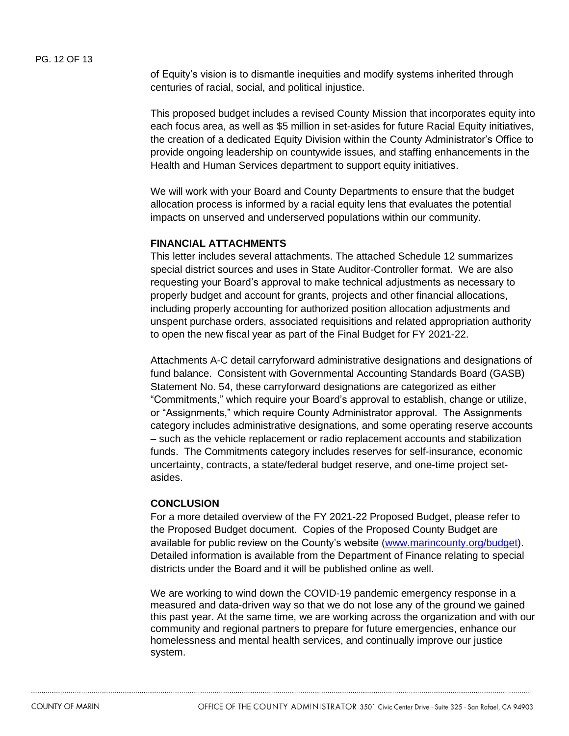of Equity's vision is to dismantle inequities and modify systems inherited through centuries of racial, social, and political injustice.

This proposed budget includes a revised County Mission that incorporates equity into each focus area, as well as \$5 million in set-asides for future Racial Equity initiatives, the creation of a dedicated Equity Division within the County Administrator's Office to provide ongoing leadership on countywide issues, and staffing enhancements in the Health and Human Services department to support equity initiatives.

We will work with your Board and County Departments to ensure that the budget allocation process is informed by a racial equity lens that evaluates the potential impacts on unserved and underserved populations within our community.

#### **FINANCIAL ATTACHMENTS**

This letter includes several attachments. The attached Schedule 12 summarizes special district sources and uses in State Auditor-Controller format. We are also requesting your Board's approval to make technical adjustments as necessary to properly budget and account for grants, projects and other financial allocations, including properly accounting for authorized position allocation adjustments and unspent purchase orders, associated requisitions and related appropriation authority to open the new fiscal year as part of the Final Budget for FY 2021-22.

Attachments A-C detail carryforward administrative designations and designations of fund balance. Consistent with Governmental Accounting Standards Board (GASB) Statement No. 54, these carryforward designations are categorized as either "Commitments," which require your Board's approval to establish, change or utilize, or "Assignments," which require County Administrator approval. The Assignments category includes administrative designations, and some operating reserve accounts – such as the vehicle replacement or radio replacement accounts and stabilization funds. The Commitments category includes reserves for self-insurance, economic uncertainty, contracts, a state/federal budget reserve, and one-time project setasides.

#### **CONCLUSION**

For a more detailed overview of the FY 2021-22 Proposed Budget, please refer to the Proposed Budget document. Copies of the Proposed County Budget are available for public review on the County's website [\(www.marincounty.org/budget\)](file://///CO.MARIN.CA.US/FS1/CAOSHARE/Budget/BUDGET/Budget%20FY%2019-20/BOS%20Letter%20_%20Proposed%20and%20Final/www.marincounty.org/budget). Detailed information is available from the Department of Finance relating to special districts under the Board and it will be published online as well.

We are working to wind down the COVID-19 pandemic emergency response in a measured and data-driven way so that we do not lose any of the ground we gained this past year. At the same time, we are working across the organization and with our community and regional partners to prepare for future emergencies, enhance our homelessness and mental health services, and continually improve our justice system.